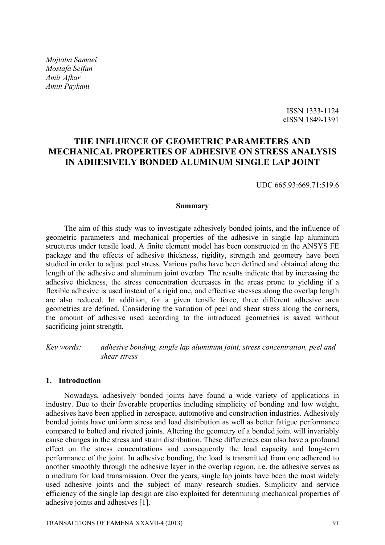*Mojtaba Samaei Mostafa Seifan Amir Afkar Amin Paykani* 

> ISSN 1333-1124 eISSN 1849-1391

# **THE INFLUENCE OF GEOMETRIC PARAMETERS AND MECHANICAL PROPERTIES OF ADHESIVE ON STRESS ANALYSIS IN ADHESIVELY BONDED ALUMINUM SINGLE LAP JOINT**

UDC 665.93:669.71:519.6

#### **Summary**

The aim of this study was to investigate adhesively bonded joints, and the influence of geometric parameters and mechanical properties of the adhesive in single lap aluminum structures under tensile load. A finite element model has been constructed in the ANSYS FE package and the effects of adhesive thickness, rigidity, strength and geometry have been studied in order to adjust peel stress. Various paths have been defined and obtained along the length of the adhesive and aluminum joint overlap. The results indicate that by increasing the adhesive thickness, the stress concentration decreases in the areas prone to yielding if a flexible adhesive is used instead of a rigid one, and effective stresses along the overlap length are also reduced. In addition, for a given tensile force, three different adhesive area geometries are defined. Considering the variation of peel and shear stress along the corners, the amount of adhesive used according to the introduced geometries is saved without sacrificing joint strength.

*Key words: adhesive bonding, single lap aluminum joint, stress concentration, peel and shear stress* 

## **1. Introduction**

Nowadays, adhesively bonded joints have found a wide variety of applications in industry. Due to their favorable properties including simplicity of bonding and low weight, adhesives have been applied in aerospace, automotive and construction industries. Adhesively bonded joints have uniform stress and load distribution as well as better fatigue performance compared to bolted and riveted joints. Altering the geometry of a bonded joint will invariably cause changes in the stress and strain distribution. These differences can also have a profound effect on the stress concentrations and consequently the load capacity and long-term performance of the joint. In adhesive bonding, the load is transmitted from one adherend to another smoothly through the adhesive layer in the overlap region, i.e. the adhesive serves as a medium for load transmission. Over the years, single lap joints have been the most widely used adhesive joints and the subject of many research studies. Simplicity and service efficiency of the single lap design are also exploited for determining mechanical properties of adhesive joints and adhesives [1].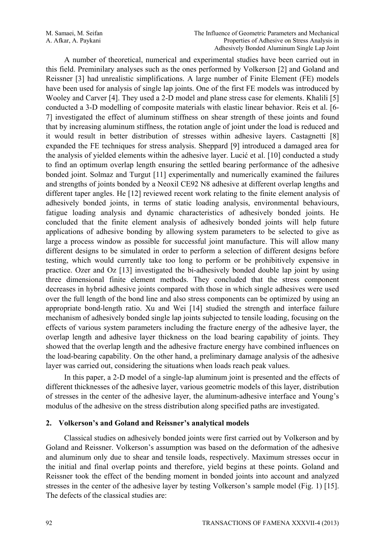A number of theoretical, numerical and experimental studies have been carried out in this field. Preminilary analyses such as the ones performed by Volkerson [2] and Goland and Reissner [3] had unrealistic simplifications. A large number of Finite Element (FE) models have been used for analysis of single lap joints. One of the first FE models was introduced by Wooley and Carver [4]. They used a 2-D model and plane stress case for elements. Khalili [5] conducted a 3-D modelling of composite materials with elastic linear behavior. Reis et al. [6- 7] investigated the effect of aluminum stiffness on shear strength of these joints and found that by increasing aluminum stiffness, the rotation angle of joint under the load is reduced and it would result in better distribution of stresses within adhesive layers. Castagnetti [8] expanded the FE techniques for stress analysis. Sheppard [9] introduced a damaged area for the analysis of yielded elements within the adhesive layer. Lucić et al. [10] conducted a study to find an optimum overlap length ensuring the settled bearing performance of the adhesive bonded joint. Solmaz and Turgut [11] experimentally and numerically examined the failures and strengths of joints bonded by a Neoxil CE92 N8 adhesive at different overlap lengths and different taper angles. He [12] reviewed recent work relating to the finite element analysis of adhesively bonded joints, in terms of static loading analysis, environmental behaviours, fatigue loading analysis and dynamic characteristics of adhesively bonded joints. He concluded that the finite element analysis of adhesively bonded joints will help future applications of adhesive bonding by allowing system parameters to be selected to give as large a process window as possible for successful joint manufacture. This will allow many different designs to be simulated in order to perform a selection of different designs before testing, which would currently take too long to perform or be prohibitively expensive in practice. Ozer and Oz [13] investigated the bi-adhesively bonded double lap joint by using three dimensional finite element methods. They concluded that the stress component decreases in hybrid adhesive joints compared with those in which single adhesives were used over the full length of the bond line and also stress components can be optimized by using an appropriate bond-length ratio. Xu and Wei [14] studied the strength and interface failure mechanism of adhesively bonded single lap joints subjected to tensile loading, focusing on the effects of various system parameters including the fracture energy of the adhesive layer, the overlap length and adhesive layer thickness on the load bearing capability of joints. They showed that the overlap length and the adhesive fracture energy have combined influences on the load-bearing capability. On the other hand, a preliminary damage analysis of the adhesive layer was carried out, considering the situations when loads reach peak values.

In this paper, a 2-D model of a single-lap aluminum joint is presented and the effects of different thicknesses of the adhesive layer, various geometric models of this layer, distribution of stresses in the center of the adhesive layer, the aluminum-adhesive interface and Young's modulus of the adhesive on the stress distribution along specified paths are investigated.

## **2. Volkerson's and Goland and Reissner's analytical models**

Classical studies on adhesively bonded joints were first carried out by Volkerson and by Goland and Reissner. Volkerson's assumption was based on the deformation of the adhesive and aluminum only due to shear and tensile loads, respectively. Maximum stresses occur in the initial and final overlap points and therefore, yield begins at these points. Goland and Reissner took the effect of the bending moment in bonded joints into account and analyzed stresses in the center of the adhesive layer by testing Volkerson's sample model (Fig. 1) [15]. The defects of the classical studies are: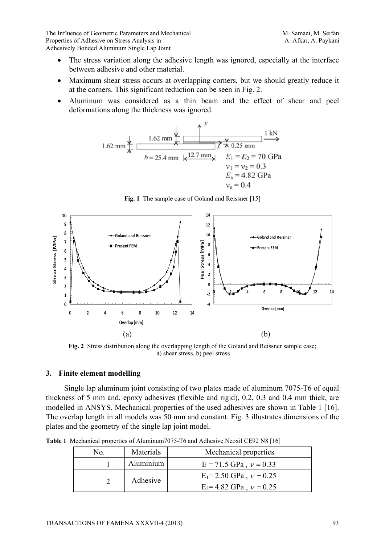The Influence of Geometric Parameters and Mechanical Manuson M. Samaei, M. Seifan Properties of Adhesive on Stress Analysis in A. Afkar, A. Paykani Adhesively Bonded Aluminum Single Lap Joint

- The stress variation along the adhesive length was ignored, especially at the interface between adhesive and other material.
- Maximum shear stress occurs at overlapping corners, but we should greatly reduce it at the corners. This significant reduction can be seen in Fig. 2.
- Aluminum was considered as a thin beam and the effect of shear and peel deformations along the thickness was ignored.

1.62 mm  
\n
$$
\star
$$
\n1.62 mm  
\nb = 25.4 mm  
\n $k^2$   
\n $\frac{V}{2.7 \text{ mm}}$   
\n $E_1 = E_2 = 70 \text{ GPa}$   
\n $v_1 = v_2 = 0.3$   
\n $v_a = 0.4$   
\n $v_a = 0.4$ 



Fig. 1 The sample case of Goland and Reissner [15]

**Fig. 2** Stress distribution along the overlapping length of the Goland and Reissner sample case; a) shear stress, b) peel stress

## **3. Finite element modelling**

Single lap aluminum joint consisting of two plates made of aluminum 7075-T6 of equal thickness of 5 mm and, epoxy adhesives (flexible and rigid), 0.2, 0.3 and 0.4 mm thick, are modelled in ANSYS. Mechanical properties of the used adhesives are shown in Table 1 [16]. The overlap length in all models was 50 mm and constant. Fig. 3 illustrates dimensions of the plates and the geometry of the single lap joint model.

**Table 1** Mechanical properties of Aluminum7075-T6 and Adhesive Neoxil CE92 N8 [16]

| N0. | Materials | Mechanical properties                                        |
|-----|-----------|--------------------------------------------------------------|
|     | Aluminium | $E = 71.5$ GPa, $v = 0.33$                                   |
|     | Adhesive  | $E_1 = 2.50$ GPa, $v = 0.25$<br>$E_2$ = 4.82 GPa, $v = 0.25$ |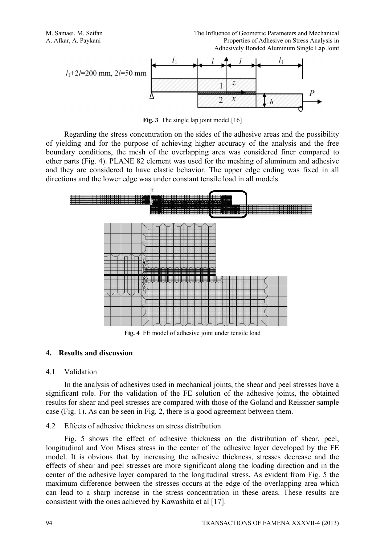M. Samaei, M. Seifan The Influence of Geometric Parameters and Mechanical A. Afkar, A. Paykani Properties of Adhesive on Stress Analysis in Adhesively Bonded Aluminum Single Lap Joint



Fig. 3 The single lap joint model [16]

Regarding the stress concentration on the sides of the adhesive areas and the possibility of yielding and for the purpose of achieving higher accuracy of the analysis and the free boundary conditions, the mesh of the overlapping area was considered finer compared to other parts (Fig. 4). PLANE 82 element was used for the meshing of aluminum and adhesive and they are considered to have elastic behavior. The upper edge ending was fixed in all directions and the lower edge was under constant tensile load in all models.



**Fig. 4** FE model of adhesive joint under tensile load

#### **4. Results and discussion**

#### 4.1 Validation

In the analysis of adhesives used in mechanical joints, the shear and peel stresses have a significant role. For the validation of the FE solution of the adhesive joints, the obtained results for shear and peel stresses are compared with those of the Goland and Reissner sample case (Fig. 1). As can be seen in Fig. 2, there is a good agreement between them.

## 4.2 Effects of adhesive thickness on stress distribution

Fig. 5 shows the effect of adhesive thickness on the distribution of shear, peel, longitudinal and Von Mises stress in the center of the adhesive layer developed by the FE model. It is obvious that by increasing the adhesive thickness, stresses decrease and the effects of shear and peel stresses are more significant along the loading direction and in the center of the adhesive layer compared to the longitudinal stress. As evident from Fig. 5 the maximum difference between the stresses occurs at the edge of the overlapping area which can lead to a sharp increase in the stress concentration in these areas. These results are consistent with the ones achieved by Kawashita et al [17].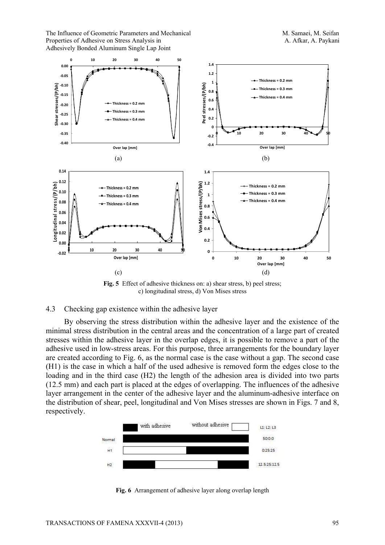The Influence of Geometric Parameters and Mechanical Manuson M. Samaei, M. Seifan Properties of Adhesive on Stress Analysis in A. Afkar, A. Paykani Adhesively Bonded Aluminum Single Lap Joint



**Fig. 5** Effect of adhesive thickness on: a) shear stress, b) peel stress; c) longitudinal stress, d) Von Mises stress

#### 4.3 Checking gap existence within the adhesive layer

By observing the stress distribution within the adhesive layer and the existence of the minimal stress distribution in the central areas and the concentration of a large part of created stresses within the adhesive layer in the overlap edges, it is possible to remove a part of the adhesive used in low-stress areas. For this purpose, three arrangements for the boundary layer are created according to Fig. 6, as the normal case is the case without a gap. The second case (H1) is the case in which a half of the used adhesive is removed form the edges close to the loading and in the third case (H2) the length of the adhesion area is divided into two parts (12.5 mm) and each part is placed at the edges of overlapping. The influences of the adhesive layer arrangement in the center of the adhesive layer and the aluminum-adhesive interface on the distribution of shear, peel, longitudinal and Von Mises stresses are shown in Figs. 7 and 8, respectively.



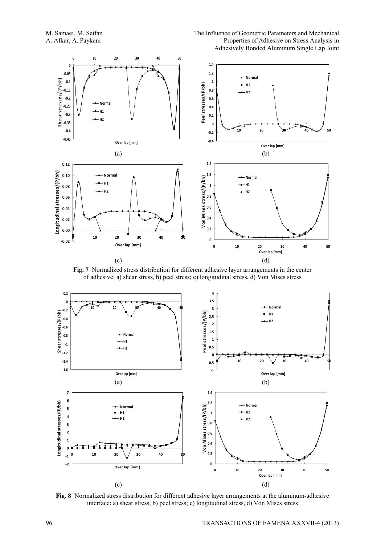



**Fig. 7** Normalized stress distribution for different adhesive layer arrangements in the center of adhesive: a) shear stress, b) peel stress; c) longitudinal stress, d) Von Mises stress



**Fig. 8** Normalized stress distribution for different adhesive layer arrangements at the aluminum-adhesive interface: a) shear stress, b) peel stress; c) longitudinal stress, d) Von Mises stress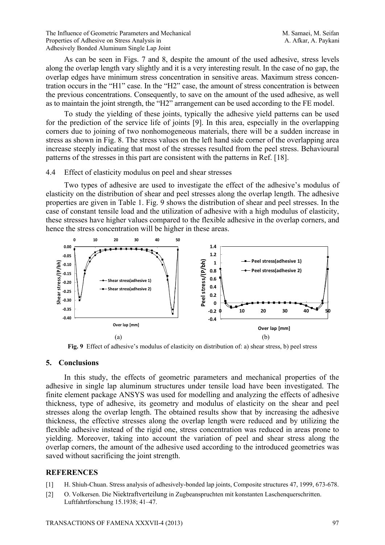The Influence of Geometric Parameters and Mechanical Manuson M. Samaei, M. Seifan Properties of Adhesive on Stress Analysis in A. Afkar, A. Paykani Adhesively Bonded Aluminum Single Lap Joint

As can be seen in Figs. 7 and 8, despite the amount of the used adhesive, stress levels along the overlap length vary slightly and it is a very interesting result. In the case of no gap, the overlap edges have minimum stress concentration in sensitive areas. Maximum stress concentration occurs in the "H1" case. In the "H2" case, the amount of stress concentration is between the previous concentrations. Consequently, to save on the amount of the used adhesive, as well as to maintain the joint strength, the "H2" arrangement can be used according to the FE model.

To study the yielding of these joints, typically the adhesive yield patterns can be used for the prediction of the service life of joints [9]. In this area, especially in the overlapping corners due to joining of two nonhomogeneous materials, there will be a sudden increase in stress as shown in Fig. 8. The stress values on the left hand side corner of the overlapping area increase steeply indicating that most of the stresses resulted from the peel stress. Behavioural patterns of the stresses in this part are consistent with the patterns in Ref. [18].

#### 4.4 Effect of elasticity modulus on peel and shear stresses

Two types of adhesive are used to investigate the effect of the adhesive's modulus of elasticity on the distribution of shear and peel stresses along the overlap length. The adhesive properties are given in Table 1. Fig. 9 shows the distribution of shear and peel stresses. In the case of constant tensile load and the utilization of adhesive with a high modulus of elasticity, these stresses have higher values compared to the flexible adhesive in the overlap corners, and hence the stress concentration will be higher in these areas.



**Fig. 9** Effect of adhesive's modulus of elasticity on distribution of: a) shear stress, b) peel stress

## **5. Conclusions**

In this study, the effects of geometric parameters and mechanical properties of the adhesive in single lap aluminum structures under tensile load have been investigated. The finite element package ANSYS was used for modelling and analyzing the effects of adhesive thickness, type of adhesive, its geometry and modulus of elasticity on the shear and peel stresses along the overlap length. The obtained results show that by increasing the adhesive thickness, the effective stresses along the overlap length were reduced and by utilizing the flexible adhesive instead of the rigid one, stress concentration was reduced in areas prone to yielding. Moreover, taking into account the variation of peel and shear stress along the overlap corners, the amount of the adhesive used according to the introduced geometries was saved without sacrificing the joint strength.

## **REFERENCES**

- [1] H. Shiuh-Chuan. Stress analysis of adhesively-bonded lap joints, Composite structures 47, 1999, 673-678.
- [2] O. Volkersen. Die Niektraftverteilung in Zugbeanspruchten mit konstanten Laschenquerschritten. Luftfahrtforschung 15.1938; 41–47.